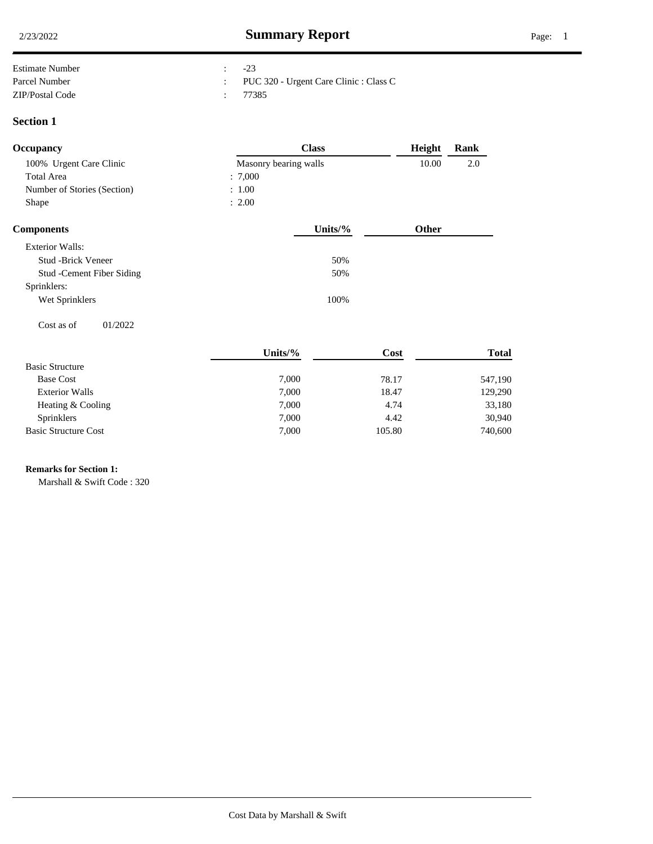| <b>Estimate Number</b> | $-23$                                    |
|------------------------|------------------------------------------|
| Parcel Number          | : PUC 320 - Urgent Care Clinic : Class C |
| ZIP/Postal Code        | 77385                                    |

### **Section 1**

| <b>Occupancy</b>            | <b>Class</b>          | Height | Rank |
|-----------------------------|-----------------------|--------|------|
| 100% Urgent Care Clinic     | Masonry bearing walls | 10.00  | 2.0  |
| Total Area                  | : 7,000               |        |      |
| Number of Stories (Section) | : 1.00                |        |      |
| Shape                       | : 2.00                |        |      |
|                             |                       |        |      |

| <b>Components</b>          | Units/% | Other |
|----------------------------|---------|-------|
| Exterior Walls:            |         |       |
| <b>Stud -Brick Veneer</b>  | 50%     |       |
| Stud - Cement Fiber Siding | 50%     |       |
| Sprinklers:                |         |       |
| Wet Sprinklers             | 100%    |       |
|                            |         |       |
| 01/2022<br>Cost as of      |         |       |

|                             | Units/ $%$ | Cost   | Total   |
|-----------------------------|------------|--------|---------|
| <b>Basic Structure</b>      |            |        |         |
| <b>Base Cost</b>            | 7,000      | 78.17  | 547,190 |
| <b>Exterior Walls</b>       | 7,000      | 18.47  | 129,290 |
| Heating & Cooling           | 7,000      | 4.74   | 33,180  |
| <b>Sprinklers</b>           | 7,000      | 4.42   | 30,940  |
| <b>Basic Structure Cost</b> | 7,000      | 105.80 | 740,600 |

# **Remarks for Section 1:** .

Marshall & Swift Code : 320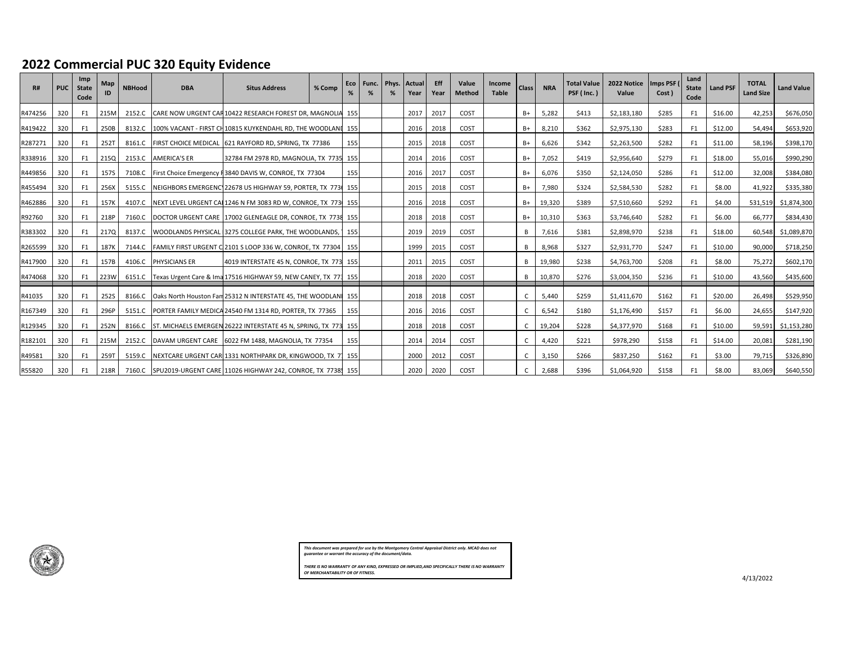## **2022 Commercial PUC 320 Equity Evidence**

| R#      | <b>PUC</b> | Imp<br><b>State</b><br>Code | Map<br>ID | <b>NBHood</b> | <b>DBA</b>           | <b>Situs Address</b>                                            | % Comp | Eco | Func. Phys. | <b>Actual</b><br>Year | <b>Eff</b><br>Year | Value<br><b>Method</b> | <b>Income</b><br>Table | <b>Class</b> | <b>NRA</b> | <b>Total Value</b><br>PSF (Inc.) | 2022 Notice<br>Value | Imps PSF (<br>Cost ) | Land<br><b>State</b><br>Code | <b>Land PSF</b> | <b>TOTAL</b><br><b>Land Size</b> | <b>Land Value</b> |
|---------|------------|-----------------------------|-----------|---------------|----------------------|-----------------------------------------------------------------|--------|-----|-------------|-----------------------|--------------------|------------------------|------------------------|--------------|------------|----------------------------------|----------------------|----------------------|------------------------------|-----------------|----------------------------------|-------------------|
| R474256 | 320        | F1                          | 215M      | 2152.C        |                      | CARE NOW URGENT CAR 10422 RESEARCH FOREST DR, MAGNOLIA 155      |        |     |             | 2017                  | 2017               | COST                   |                        | B+           | 5,282      | \$413                            | \$2,183,180          | \$285                | F1                           | \$16.00         | 42,253                           | \$676,050         |
| R419422 | 320        | F1                          | 250B      | 8132.C        |                      | 100% VACANT - FIRST CH10815 KUYKENDAHL RD, THE WOODLANI 155     |        |     |             | 2016                  | 2018               | COST                   |                        | $B+$         | 8.210      | \$362                            | \$2,975,130          | \$283                | F <sub>1</sub>               | \$12.00         | 54.494                           | \$653,920         |
| R287271 | 320        | F1                          | 252T      | 8161.C        |                      | FIRST CHOICE MEDICAL 621 RAYFORD RD, SPRING, TX 77386           |        | 155 |             | 2015                  | 2018               | COST                   |                        | B+           | 6,626      | \$342                            | \$2,263,500          | \$282                | F1                           | \$11.00         | 58,196                           | \$398,170         |
| R338916 | 320        | F1                          | 215Q      | 2153.C        | <b>AMERICA'S ER</b>  | 32784 FM 2978 RD, MAGNOLIA, TX 7735 155                         |        |     |             | 2014                  | 2016               | COST                   |                        | B+           | 7,052      | \$419                            | \$2,956,640          | \$279                | F <sub>1</sub>               | \$18.00         | 55,016                           | \$990,290         |
| R449856 | 320        | F1                          | 157S      | 7108.C        |                      | First Choice Emergency F3840 DAVIS W, CONROE, TX 77304          |        | 155 |             | 2016                  | 2017               | COST                   |                        | $B+$         | 6,076      | \$350                            | \$2,124,050          | \$286                | F1                           | \$12.00         | 32,008                           | \$384,080         |
| R455494 | 320        | F1                          | 256X      | 5155.C        |                      | NEIGHBORS EMERGENC 22678 US HIGHWAY 59, PORTER, TX 7731 155     |        |     |             | 2015                  | 2018               | COST                   |                        | B+           | 7,980      | \$324                            | \$2,584,530          | \$282                | F1                           | \$8.00          | 41,922                           | \$335,380         |
| R462886 | 320        | F1                          | 157K      | 4107.C        |                      | NEXT LEVEL URGENT CAL1246 N FM 3083 RD W, CONROE, TX 773 155    |        |     |             | 2016                  | 2018               | COST                   |                        | B+           | 19,320     | \$389                            | \$7,510,660          | \$292                | F1                           | \$4.00          | 531,519                          | \$1,874,300       |
| R92760  | 320        | F1                          | 218P      | 7160.C        |                      | DOCTOR URGENT CARE 17002 GLENEAGLE DR, CONROE, TX 7738 155      |        |     |             | 2018                  | 2018               | COST                   |                        | $B+$         | 10,310     | \$363                            | \$3,746,640          | \$282                | F <sub>1</sub>               | \$6.00          | 66,777                           | \$834,430         |
| R383302 | 320        | F1                          | 217Q      | 8137.C        |                      | WOODLANDS PHYSICAL 13275 COLLEGE PARK, THE WOODLANDS, 1 155     |        |     |             | 2019                  | 2019               | COST                   |                        | B            | 7,616      | \$381                            | \$2,898,970          | \$238                | F1                           | \$18.00         | 60,548                           | \$1,089,870       |
| R265599 | 320        | F1                          | 187K      | 7144.C        |                      | FAMILY FIRST URGENT C 2101 S LOOP 336 W, CONROE, TX 77304       |        | 155 |             | 1999                  | 2015               | COST                   |                        | <b>B</b>     | 8,968      | \$327                            | \$2,931,770          | \$247                | F1                           | \$10.00         | 90,000                           | \$718,250         |
| R417900 | 320        | F1                          | 157B      | 4106.C        | <b>PHYSICIANS ER</b> | 4019 INTERSTATE 45 N, CONROE, TX 773 155                        |        |     |             | 2011                  | 2015               | COST                   |                        | <b>R</b>     | 19,980     | \$238                            | \$4,763,700          | \$208                | F <sub>1</sub>               | \$8.00          | 75,272                           | \$602,170         |
| R474068 | 320        | F1                          | 223W      | 6151.C        |                      | Texas Urgent Care & Ima 17516 HIGHWAY 59, NEW CANEY, TX 773 155 |        |     |             | 2018                  | 2020               | COST                   |                        | B            | 10,870     | \$276                            | \$3,004,350          | \$236                | F <sub>1</sub>               | \$10.00         | 43,560                           | \$435,600         |
| R41035  | 320        | F1                          | 252S      | 8166.C        |                      | Oaks North Houston Fam 25312 N INTERSTATE 45, THE WOODLANI 155  |        |     |             | 2018                  | 2018               | COST                   |                        |              | 5.440      | \$259                            | \$1,411,670          | \$162                | F1                           | \$20.00         | 26,498                           | \$529,950         |
| R167349 | 320        | F1                          | 296P      | 5151.C        |                      | PORTER FAMILY MEDICA 24540 FM 1314 RD, PORTER, TX 77365         |        | 155 |             | 2016                  | 2016               | COST                   |                        |              | 6,542      | \$180                            | \$1,176,490          | \$157                | F1                           | \$6.00          | 24,655                           | \$147,920         |
| R129345 | 320        | F1                          | 252N      | 8166.C        |                      | ST. MICHAELS EMERGEN 26222 INTERSTATE 45 N, SPRING, TX 773 155  |        |     |             | 2018                  | 2018               | COST                   |                        |              | 19,204     | \$228                            | \$4,377,970          | \$168                | F <sub>1</sub>               | \$10.00         | 59,591                           | \$1,153,280       |
| R182101 | 320        | F1                          | 215M      | 2152.C        |                      | DAVAM URGENT CARE 6022 FM 1488, MAGNOLIA, TX 77354              |        | 155 |             | 2014                  | 2014               | COST                   |                        |              | 4,420      | \$221                            | \$978,290            | \$158                | F1                           | \$14.00         | 20,081                           | \$281,190         |
| R49581  | 320        | F1                          | 259T      | 5159.C        |                      | NEXTCARE URGENT CARI1331 NORTHPARK DR, KINGWOOD, TX 71 155      |        |     |             | 2000                  | 2012               | COST                   |                        |              | 3,150      | \$266                            | \$837,250            | \$162                | F <sub>1</sub>               | \$3.00          | 79,715                           | \$326,890         |
| R55820  | 320        | F1                          | 218R      | 7160.C        |                      | SPU2019-URGENT CARE 11026 HIGHWAY 242, CONROE, TX 7738 155      |        |     |             | 2020                  | 2020               | COST                   |                        |              | 2,688      | \$396                            | \$1,064,920          | \$158                | F <sub>1</sub>               | \$8.00          | 83,069                           | \$640,550         |

*This document was prepared for use by the Montgomery Central Appraisal District only. MCAD does not guarantee or warrant the accuracy of the document/data.*

*THERE IS NO WARRANTY OF ANY KIND, EXPRESSED OR IMPLIED,AND SPECIFICALLY THERE IS NO WARRANTY OF MERCHANTABILITY OR OF FITNESS.*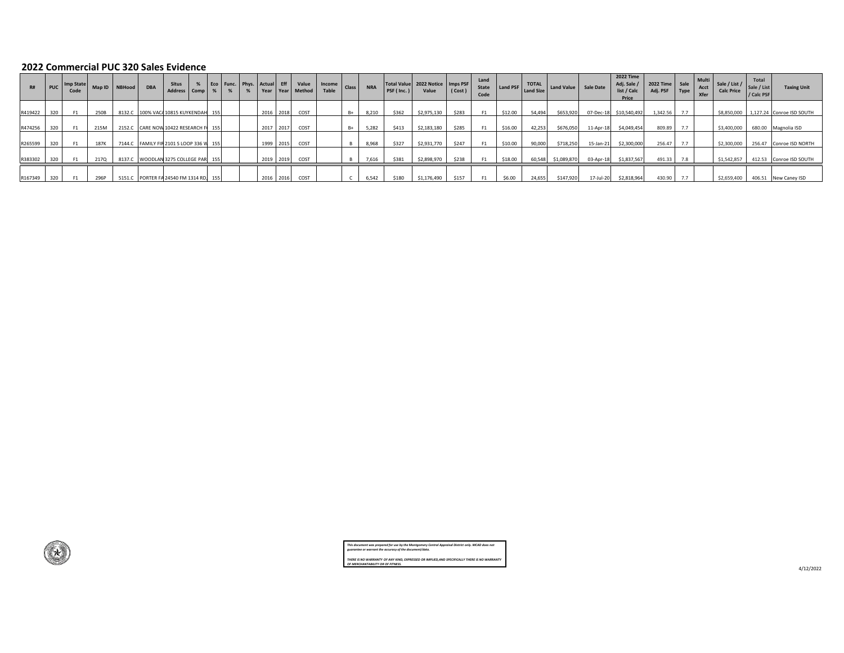#### **2022 Commercial PUC 320 Sales Evidence**

| R#      | <b>PUC</b> | Imp State<br>Code | Map ID NBHood | <b>DBA</b> | <b>Situs</b><br>Address Comp %          |  | Eco   Func.   Phys.   Actual   Eff |           | Value<br>Year Year Method | Income   Class  <br>Table | <b>NRA</b> | PSF (Inc.) | Total Value 2022 Notice Imps PSF<br>Value | (Cost) | Land<br>State<br>Code |         |        | Land PSF TOTAL Land Value Sale Date |           | <b>2022 Time</b><br>Adj. Sale /<br>list / Calc<br>Price | /   2022 Time   Sale   Multi   Sale<br>Adj. PSF | Type | Acct<br>Xfer | Sale / List / $\int$<br><b>Calc Price</b> | Total<br>Sale / List<br>/ Calc PSF | <b>Taxing Unit</b>                    |
|---------|------------|-------------------|---------------|------------|-----------------------------------------|--|------------------------------------|-----------|---------------------------|---------------------------|------------|------------|-------------------------------------------|--------|-----------------------|---------|--------|-------------------------------------|-----------|---------------------------------------------------------|-------------------------------------------------|------|--------------|-------------------------------------------|------------------------------------|---------------------------------------|
| R419422 | 320        | F1                | 250B          |            | 8132.C 100% VACA 10815 KUYKENDAH 155    |  |                                    |           | 2016 2018 COST            |                           | 8,210      | \$362      | \$2,975,130                               | \$283  | F <sub>1</sub>        | \$12.00 | 54,494 | \$653,920                           |           | 07-Dec-18 \$10,540,492                                  | 1,342.56                                        |      |              |                                           |                                    | \$8,850,000 1,127.24 Conroe ISD SOUTH |
| R474256 | 320        | F1                | 215M          |            | 2152.C CARE NOW 10422 RESEARCH FI 155   |  |                                    |           | 2017 2017 COST            |                           | 5,282      | \$413      | \$2,183,180                               | \$285  | F <sub>1</sub>        | \$16.00 | 42,253 | \$676,050                           | 11-Apr-18 | \$4,049,454                                             | 809.89                                          |      |              | \$3,400,000                               |                                    | 680.00 Magnolia ISD                   |
| R265599 | 320        | F <sub>1</sub>    | 187K          |            | 7144.C FAMILY FIR 2101 S LOOP 336 W 155 |  |                                    | 1999 2015 | COST                      |                           | 8,968      | \$327      | \$2,931,770                               | \$247  | F <sub>1</sub>        | \$10.00 | 90,000 | \$718,250                           |           | 15-Jan-21 \$2,300,000                                   | 256.47                                          |      |              | \$2,300,000                               |                                    | 256.47 Conroe ISD NORTH               |
| R383302 | 320        | F1                | 217Q          |            | 8137.C WOODLAN 3275 COLLEGE PAR 155     |  |                                    | 2019 2019 | COST                      |                           | 7,616      | \$381      | \$2,898,970                               | \$238  | F <sub>1</sub>        | \$18.00 | 60,548 | \$1,089,870                         | 03-Apr-18 | \$1,837,567                                             | 491.33                                          | 7.8  |              | \$1,542,857                               |                                    | 412.53 Conroe ISD SOUTH               |
| R167349 | 320        | F1                | 296P          |            | 5151.C PORTER FA 24540 FM 1314 RD, 155  |  |                                    |           | 2016 2016 COST            |                           | 6.542      | \$180      | \$1,176,490                               | \$157  | F <sub>1</sub>        | \$6.00  | 24,655 | \$147,920                           | 17-Jul-20 | \$2,818,964                                             | 430.90                                          |      |              | \$2,659,400                               |                                    | 406.51 New Caney ISD                  |

*This document was prepared for use by the Montgomery Central Appraisal District only. MCAD does not guarantee or warrant the accuracy of the document/data. THERE IS NO WARRANTY OF ANY KIND, EXPRESSED OR IMPLIED,AND SPECIFICALLY THERE IS NO WARRANTY OF MERCHANTABILITY OR OF FITNESS.*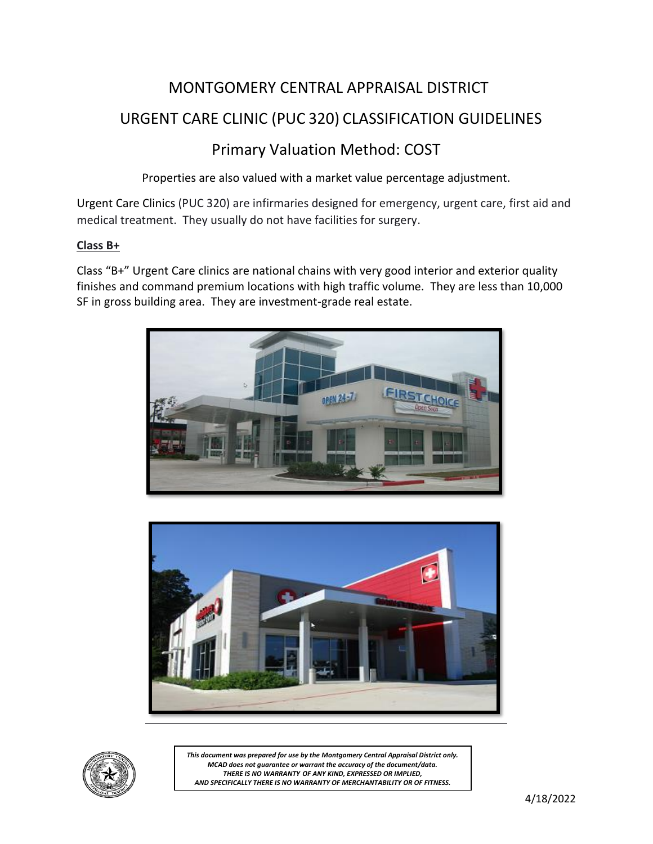# MONTGOMERY CENTRAL APPRAISAL DISTRICT

## URGENT CARE CLINIC (PUC 320) CLASSIFICATION GUIDELINES

## Primary Valuation Method: COST

Properties are also valued with a market value percentage adjustment.

Urgent Care Clinics (PUC 320) are infirmaries designed for emergency, urgent care, first aid and medical treatment. They usually do not have facilities for surgery.

### **Class B+**

Class "B+" Urgent Care clinics are national chains with very good interior and exterior quality finishes and command premium locations with high traffic volume. They are less than 10,000 SF in gross building area. They are investment-grade real estate.







*This document was prepared for use by the Montgomery Central Appraisal District only. MCAD does not guarantee or warrant the accuracy of the document/data. THERE IS NO WARRANTY OF ANY KIND, EXPRESSED OR IMPLIED, AND SPECIFICALLY THERE IS NO WARRANTY OF MERCHANTABILITY OR OF FITNESS.*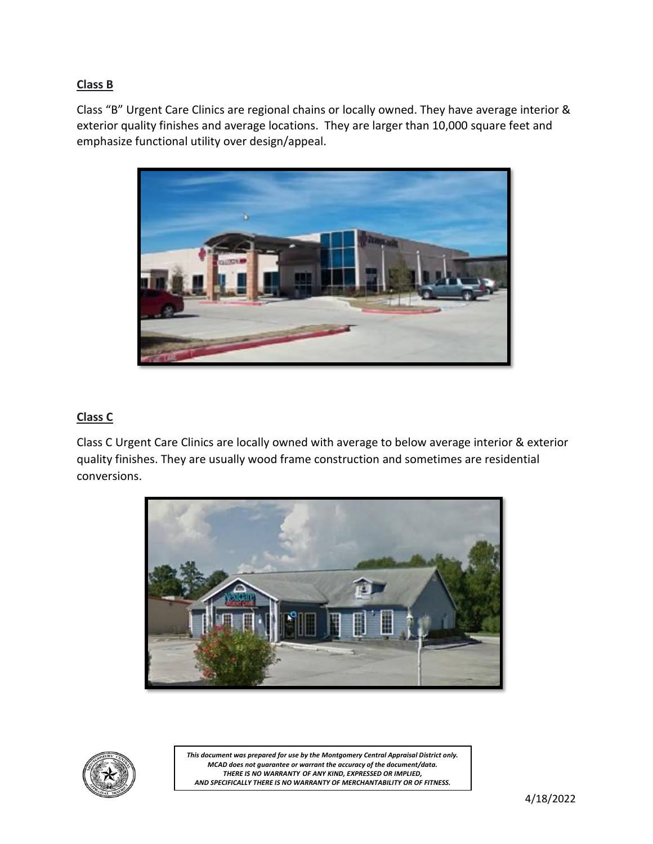## **Class B**

Class "B" Urgent Care Clinics are regional chains or locally owned. They have average interior & exterior quality finishes and average locations. They are larger than 10,000 square feet and emphasize functional utility over design/appeal.



### **Class C**

Class C Urgent Care Clinics are locally owned with average to below average interior & exterior quality finishes. They are usually wood frame construction and sometimes are residential conversions.





*This document was prepared for use by the Montgomery Central Appraisal District only. MCAD does not guarantee or warrant the accuracy of the document/data. THERE IS NO WARRANTY OF ANY KIND, EXPRESSED OR IMPLIED, AND SPECIFICALLY THERE IS NO WARRANTY OF MERCHANTABILITY OR OF FITNESS.*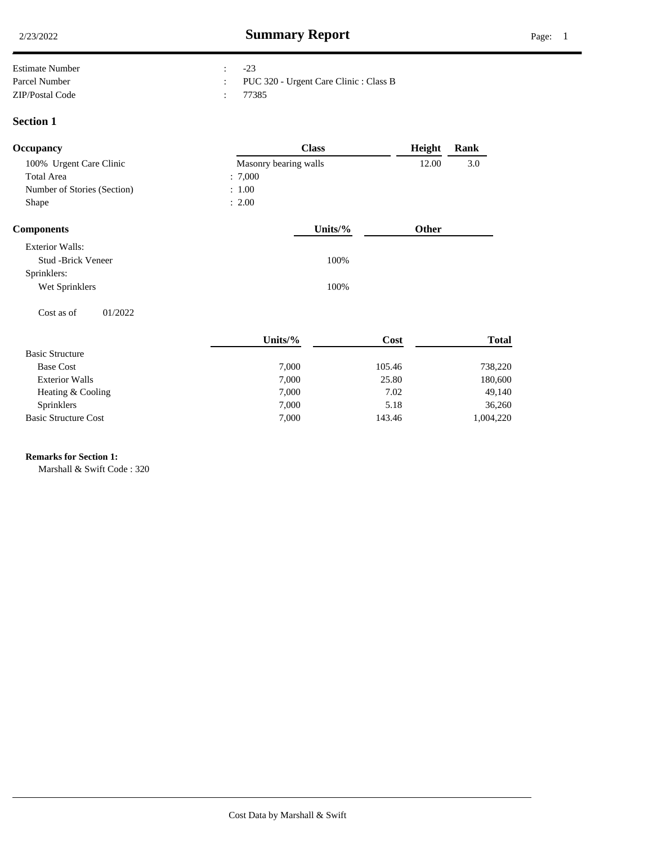| Estimate Number | $-23$                                    |
|-----------------|------------------------------------------|
| Parcel Number   | : PUC 320 - Urgent Care Clinic : Class B |
| ZIP/Postal Code | : 77385                                  |

#### **Section 1**

| Occupancy                   | <b>Class</b>          | Height       | Rank |
|-----------------------------|-----------------------|--------------|------|
| 100% Urgent Care Clinic     | Masonry bearing walls | 12.00        | 3.0  |
| <b>Total Area</b>           | : 7,000               |              |      |
| Number of Stories (Section) | : 1.00                |              |      |
| Shape                       | : 2.00                |              |      |
| <b>Components</b>           | Units/ $%$            | <b>Other</b> |      |
| <b>Exterior Walls:</b>      |                       |              |      |

| LAWITOL WALLS.        |      |
|-----------------------|------|
| Stud -Brick Veneer    | 100% |
| Sprinklers:           |      |
| Wet Sprinklers        | 100% |
|                       |      |
| 01/2022<br>Cost as of |      |

|                             | Units/ $%$ | Cost   | <b>Total</b> |
|-----------------------------|------------|--------|--------------|
| <b>Basic Structure</b>      |            |        |              |
| <b>Base Cost</b>            | 7,000      | 105.46 | 738,220      |
| <b>Exterior Walls</b>       | 7,000      | 25.80  | 180,600      |
| Heating & Cooling           | 7,000      | 7.02   | 49,140       |
| <b>Sprinklers</b>           | 7,000      | 5.18   | 36,260       |
| <b>Basic Structure Cost</b> | 7,000      | 143.46 | 1,004,220    |

# **Remarks for Section 1:** .

Marshall & Swift Code : 320